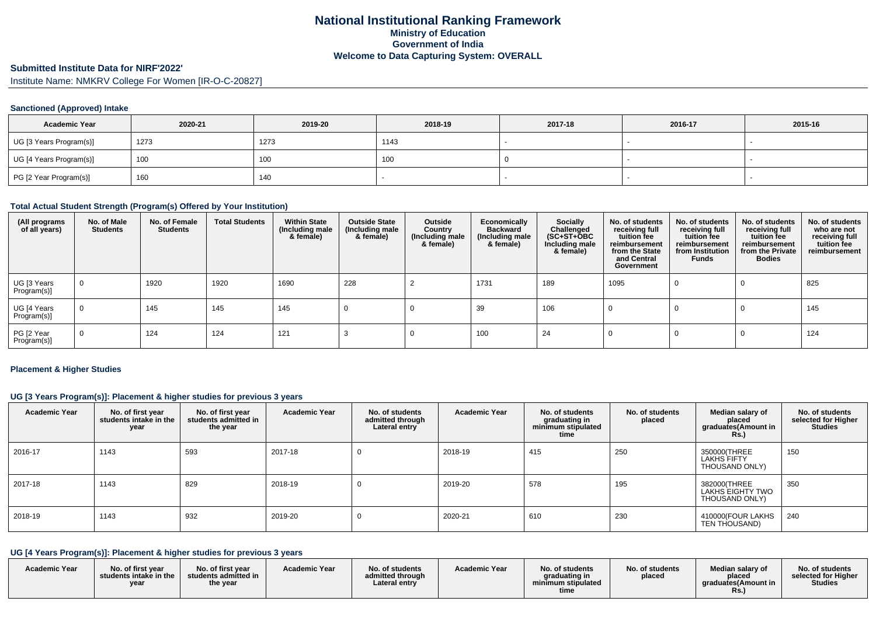# **Submitted Institute Data for NIRF'2022'**

Institute Name: NMKRV College For Women [IR-O-C-20827]

### **Sanctioned (Approved) Intake**

| <b>Academic Year</b>    | 2020-21 | 2019-20 | 2018-19 | 2017-18 | 2016-17 | 2015-16 |
|-------------------------|---------|---------|---------|---------|---------|---------|
| UG [3 Years Program(s)] | 1273    | 1273    | 1143    |         |         |         |
| UG [4 Years Program(s)] | 100     | 100     | 1 O.U   |         |         |         |
| PG [2 Year Program(s)]  | 160     | 140     |         |         |         |         |

### **Total Actual Student Strength (Program(s) Offered by Your Institution)**

| (All programs<br>of all years) | No. of Male<br><b>Students</b> | No. of Female<br><b>Students</b> | <b>Total Students</b> | <b>Within State</b><br>(Including male<br>& female) | <b>Outside State</b><br>(Including male<br>& female) | Outside<br>Country<br>(Including male<br>& female) | Economically<br><b>Backward</b><br>(Including male<br>& female) | <b>Socially</b><br>Challenged<br>$(SC+ST+\text{O}BC)$<br>Including male<br>& female) | No. of students<br>receiving full<br>tuition fee<br>reimbursement<br>from the State<br>and Central<br>Government | No. of students<br>receiving full<br>tuition fee<br>reimbursement<br>from Institution<br><b>Funds</b> | No. of students<br>receiving full<br>tuition fee<br>reimbursement<br>from the Private<br><b>Bodies</b> | No. of students<br>who are not<br>receiving full<br>tuition fee<br>reimbursement |
|--------------------------------|--------------------------------|----------------------------------|-----------------------|-----------------------------------------------------|------------------------------------------------------|----------------------------------------------------|-----------------------------------------------------------------|--------------------------------------------------------------------------------------|------------------------------------------------------------------------------------------------------------------|-------------------------------------------------------------------------------------------------------|--------------------------------------------------------------------------------------------------------|----------------------------------------------------------------------------------|
| UG [3 Years<br>Program(s)]     | $\mathbf 0$                    | 1920                             | 1920                  | 1690                                                | 228                                                  |                                                    | 1731                                                            | 189                                                                                  | 1095                                                                                                             |                                                                                                       |                                                                                                        | 825                                                                              |
| UG [4 Years<br>Program(s)]     | $\mathbf 0$                    | 145                              | 145                   | 145                                                 | 0                                                    |                                                    | 39                                                              | 106                                                                                  |                                                                                                                  |                                                                                                       |                                                                                                        | 145                                                                              |
| PG [2 Year<br>Program(s)]      | $\mathbf 0$                    | 124                              | 124                   | 121                                                 |                                                      |                                                    | 100                                                             | 24                                                                                   |                                                                                                                  |                                                                                                       |                                                                                                        | 124                                                                              |

#### **Placement & Higher Studies**

### **UG [3 Years Program(s)]: Placement & higher studies for previous 3 years**

| <b>Academic Year</b> | No. of first year<br>students intake in the<br>year | No. of first year<br>students admitted in<br>the year | <b>Academic Year</b> | No. of students<br>admitted through<br>Lateral entry | <b>Academic Year</b> | No. of students<br>graduating in<br>minimum stipulated<br>time | No. of students<br>placed | Median salary of<br>placed<br>graduates(Amount in<br>R <sub>S</sub> | No. of students<br>selected for Higher<br><b>Studies</b> |
|----------------------|-----------------------------------------------------|-------------------------------------------------------|----------------------|------------------------------------------------------|----------------------|----------------------------------------------------------------|---------------------------|---------------------------------------------------------------------|----------------------------------------------------------|
| 2016-17              | 1143                                                | 593                                                   | 2017-18              |                                                      | 2018-19              | 415                                                            | 250                       | 350000(THREE<br>LAKHS FIFTY<br>THOUSAND ONLY)                       | 150                                                      |
| 2017-18              | 1143                                                | 829                                                   | 2018-19              |                                                      | 2019-20              | 578                                                            | 195                       | 382000(THREE<br>LAKHS EIGHTY TWO<br>THOUSAND ONLY)                  | 350                                                      |
| 2018-19              | 1143                                                | 932                                                   | 2019-20              |                                                      | 2020-21              | 610                                                            | 230                       | 410000(FOUR LAKHS<br>TEN THOUSAND)                                  | 240                                                      |

# **UG [4 Years Program(s)]: Placement & higher studies for previous 3 years**

| <b>Academic Year</b> | No. of first year<br>$\,$ students intake in the $\,$<br>year | No. of first year<br>students admitted in<br>the year | <b>Academic Year</b> | No. of students<br>admitted through<br>Lateral entrv | <b>Academic Year</b> | No. of students<br>araduating in<br>minimum stipulated<br>time | No. of students<br>placed | Median salary of<br>placed<br>araduates(Amount in<br>KS. | No. of students<br>selected for Higher<br><b>Studies</b> |
|----------------------|---------------------------------------------------------------|-------------------------------------------------------|----------------------|------------------------------------------------------|----------------------|----------------------------------------------------------------|---------------------------|----------------------------------------------------------|----------------------------------------------------------|
|----------------------|---------------------------------------------------------------|-------------------------------------------------------|----------------------|------------------------------------------------------|----------------------|----------------------------------------------------------------|---------------------------|----------------------------------------------------------|----------------------------------------------------------|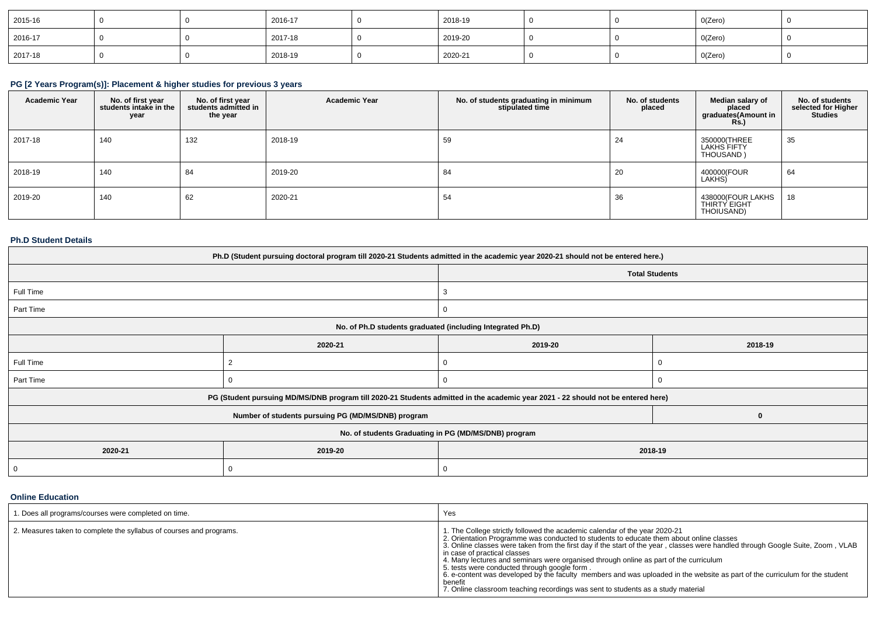| 2015-16 |  | 2016-17 | 2018-19 |  | O(Zero) |  |
|---------|--|---------|---------|--|---------|--|
| 2016-17 |  | 2017-18 | 2019-20 |  | O(Zero) |  |
| 2017-18 |  | 2018-19 | 2020-21 |  | O(Zero) |  |

# **PG [2 Years Program(s)]: Placement & higher studies for previous 3 years**

| <b>Academic Year</b> | No. of first year<br>students intake in the<br>year | No. of first year<br>students admitted in<br>the year | <b>Academic Year</b> | No. of students graduating in minimum<br>stipulated time | No. of students<br>placed | Median salary of<br>placed<br>graduates(Amount in<br><b>Rs.)</b> | No. of students<br>selected for Higher<br>Studies |
|----------------------|-----------------------------------------------------|-------------------------------------------------------|----------------------|----------------------------------------------------------|---------------------------|------------------------------------------------------------------|---------------------------------------------------|
| 2017-18              | 140                                                 | 132                                                   | 2018-19              | 59                                                       | 24                        | 350000(THREE<br><b>LAKHS FIFTY</b><br>THOUSAND)                  | 35                                                |
| 2018-19              | 140                                                 | 84                                                    | 2019-20              | 84                                                       | 20                        | 400000(FOUR<br>LAKHS)                                            | 64                                                |
| 2019-20              | 140                                                 | 62                                                    | 2020-21              | 54                                                       | 36                        | 438000(FOUR LAKHS<br>THIRTY EIGHT<br>THOIUSAND)                  | 18                                                |

#### **Ph.D Student Details**

| Ph.D (Student pursuing doctoral program till 2020-21 Students admitted in the academic year 2020-21 should not be entered here.) |                                                                                                                                  |                       |         |  |  |  |
|----------------------------------------------------------------------------------------------------------------------------------|----------------------------------------------------------------------------------------------------------------------------------|-----------------------|---------|--|--|--|
|                                                                                                                                  |                                                                                                                                  | <b>Total Students</b> |         |  |  |  |
| Full Time                                                                                                                        |                                                                                                                                  | 3                     |         |  |  |  |
| Part Time                                                                                                                        |                                                                                                                                  | 0                     |         |  |  |  |
|                                                                                                                                  | No. of Ph.D students graduated (including Integrated Ph.D)                                                                       |                       |         |  |  |  |
|                                                                                                                                  | 2020-21                                                                                                                          | 2019-20               | 2018-19 |  |  |  |
| Full Time                                                                                                                        |                                                                                                                                  |                       |         |  |  |  |
| Part Time                                                                                                                        |                                                                                                                                  |                       |         |  |  |  |
|                                                                                                                                  | PG (Student pursuing MD/MS/DNB program till 2020-21 Students admitted in the academic year 2021 - 22 should not be entered here) |                       |         |  |  |  |
|                                                                                                                                  | Number of students pursuing PG (MD/MS/DNB) program                                                                               |                       | O       |  |  |  |
| No. of students Graduating in PG (MD/MS/DNB) program                                                                             |                                                                                                                                  |                       |         |  |  |  |
| 2020-21                                                                                                                          | 2019-20<br>2018-19                                                                                                               |                       |         |  |  |  |
| 0                                                                                                                                |                                                                                                                                  |                       |         |  |  |  |

#### **Online Education**

| 1. Does all programs/courses were completed on time.                | Yes                                                                                                                                                                                                                                                                                                                                                                                                                                                                                                                                                                                                                                                                                                             |
|---------------------------------------------------------------------|-----------------------------------------------------------------------------------------------------------------------------------------------------------------------------------------------------------------------------------------------------------------------------------------------------------------------------------------------------------------------------------------------------------------------------------------------------------------------------------------------------------------------------------------------------------------------------------------------------------------------------------------------------------------------------------------------------------------|
| 2. Measures taken to complete the syllabus of courses and programs. | 1. The College strictly followed the academic calendar of the year 2020-21<br>2. Orientation Programme was conducted to students to educate them about online classes<br>3. Online classes were taken from the first day if the start of the year, classes were handled through Google Suite, Zoom, VLAB<br>in case of practical classes<br>4. Many lectures and seminars were organised through online as part of the curriculum<br>5. tests were conducted through google form.<br>6. e-content was developed by the faculty members and was uploaded in the website as part of the curriculum for the student<br>benefit<br>7. Online classroom teaching recordings was sent to students as a study material |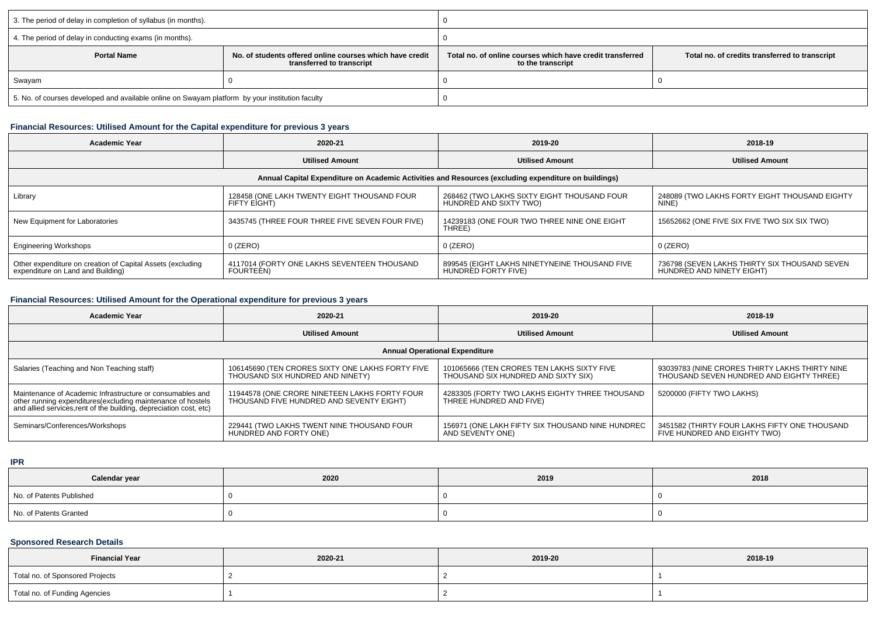| 3. The period of delay in completion of syllabus (in months).                                               |  |                                                                                |                                                |  |  |
|-------------------------------------------------------------------------------------------------------------|--|--------------------------------------------------------------------------------|------------------------------------------------|--|--|
| 4. The period of delay in conducting exams (in months).                                                     |  |                                                                                |                                                |  |  |
| <b>Portal Name</b><br>No. of students offered online courses which have credit<br>transferred to transcript |  | Total no, of online courses which have credit transferred<br>to the transcript | Total no. of credits transferred to transcript |  |  |
| Swayam                                                                                                      |  |                                                                                |                                                |  |  |
| 5. No. of courses developed and available online on Swayam platform by your institution faculty             |  |                                                                                |                                                |  |  |

# **Financial Resources: Utilised Amount for the Capital expenditure for previous 3 years**

| <b>Academic Year</b>                                                                                 | 2020-21                                                     | 2019-20                                                               | 2018-19                                                                    |  |  |  |  |
|------------------------------------------------------------------------------------------------------|-------------------------------------------------------------|-----------------------------------------------------------------------|----------------------------------------------------------------------------|--|--|--|--|
|                                                                                                      | <b>Utilised Amount</b>                                      | <b>Utilised Amount</b>                                                | <b>Utilised Amount</b>                                                     |  |  |  |  |
| Annual Capital Expenditure on Academic Activities and Resources (excluding expenditure on buildings) |                                                             |                                                                       |                                                                            |  |  |  |  |
| Library                                                                                              | 128458 (ONE LAKH TWENTY EIGHT THOUSAND FOUR<br>FIFTY EIGHT) | 268462 (TWO LAKHS SIXTY EIGHT THOUSAND FOUR<br>HUNDRED AND SIXTY TWO) | 248089 (TWO LAKHS FORTY EIGHT THOUSAND EIGHTY<br>NINE)                     |  |  |  |  |
| New Equipment for Laboratories                                                                       | 3435745 (THREE FOUR THREE FIVE SEVEN FOUR FIVE)             | 14239183 (ONE FOUR TWO THREE NINE ONE EIGHT<br>THREE)                 | 15652662 (ONE FIVE SIX FIVE TWO SIX SIX TWO)                               |  |  |  |  |
| <b>Engineering Workshops</b>                                                                         | $0$ (ZERO)                                                  | $0$ (ZERO)                                                            | $0$ (ZERO)                                                                 |  |  |  |  |
| Other expenditure on creation of Capital Assets (excluding<br>expenditure on Land and Building)      | 4117014 (FORTY ONE LAKHS SEVENTEEN THOUSAND<br>FOURTEEN)    | 899545 (EIGHT LAKHS NINETYNEINE THOUSAND FIVE<br>HUNDRÈD FORTY FIVE)  | 736798 (SEVEN LAKHS THIRTY SIX THOUSAND SEVEN<br>HUNDRED AND NINETY EIGHT) |  |  |  |  |

# **Financial Resources: Utilised Amount for the Operational expenditure for previous 3 years**

| <b>Academic Year</b>                                                                                                                                                                            | 2020-21                                                                                   | 2019-20                                                                           | 2018-19                                                                                    |  |  |  |  |
|-------------------------------------------------------------------------------------------------------------------------------------------------------------------------------------------------|-------------------------------------------------------------------------------------------|-----------------------------------------------------------------------------------|--------------------------------------------------------------------------------------------|--|--|--|--|
|                                                                                                                                                                                                 | <b>Utilised Amount</b>                                                                    | <b>Utilised Amount</b>                                                            | <b>Utilised Amount</b>                                                                     |  |  |  |  |
| <b>Annual Operational Expenditure</b>                                                                                                                                                           |                                                                                           |                                                                                   |                                                                                            |  |  |  |  |
| Salaries (Teaching and Non Teaching staff)                                                                                                                                                      | 106145690 (TEN CRORES SIXTY ONE LAKHS FORTY FIVE<br>THOUSAND SIX HUNDRED AND NINETY)      | 101065666 (TEN CRORES TEN LAKHS SIXTY FIVE<br>THOUSAND SIX HUNDRED AND SIXTY SIX) | 93039783 (NINE CRORES THIRTY LAKHS THIRTY NINE<br>THOUSAND SEVEN HUNDRED AND EIGHTY THREE) |  |  |  |  |
| Maintenance of Academic Infrastructure or consumables and<br>other running expenditures (excluding maintenance of hostels<br>and allied services, rent of the building, depreciation cost, etc) | 11944578 (ONE CRORE NINETEEN LAKHS FORTY FOUR<br>THOUSAND FIVE HUNDRED AND SEVENTY EIGHT) | 4283305 (FORTY TWO LAKHS EIGHTY THREE THOUSAND<br>THREE HUNDRED AND FIVE)         | 5200000 (FIFTY TWO LAKHS)                                                                  |  |  |  |  |
| Seminars/Conferences/Workshops                                                                                                                                                                  | 229441 (TWO LAKHS TWENT NINE THOUSAND FOUR<br>HUNDRED AND FORTY ONE)                      | 156971 (ONE LAKH FIFTY SIX THOUSAND NINE HUNDREC<br>AND SEVENTY ONE)              | 3451582 (THIRTY FOUR LAKHS FIFTY ONE THOUSAND<br>FIVE HUNDRED AND EIGHTY TWO)              |  |  |  |  |

**IPR**

| Calendar year            | 2020 | 2019 | 2018 |
|--------------------------|------|------|------|
| No. of Patents Published |      |      |      |
| No. of Patents Granted   |      |      |      |

## **Sponsored Research Details**

| <b>Financial Year</b>           | 2020-21 | 2019-20 | 2018-19 |  |
|---------------------------------|---------|---------|---------|--|
| Total no. of Sponsored Projects |         |         |         |  |
| Total no. of Funding Agencies   |         |         |         |  |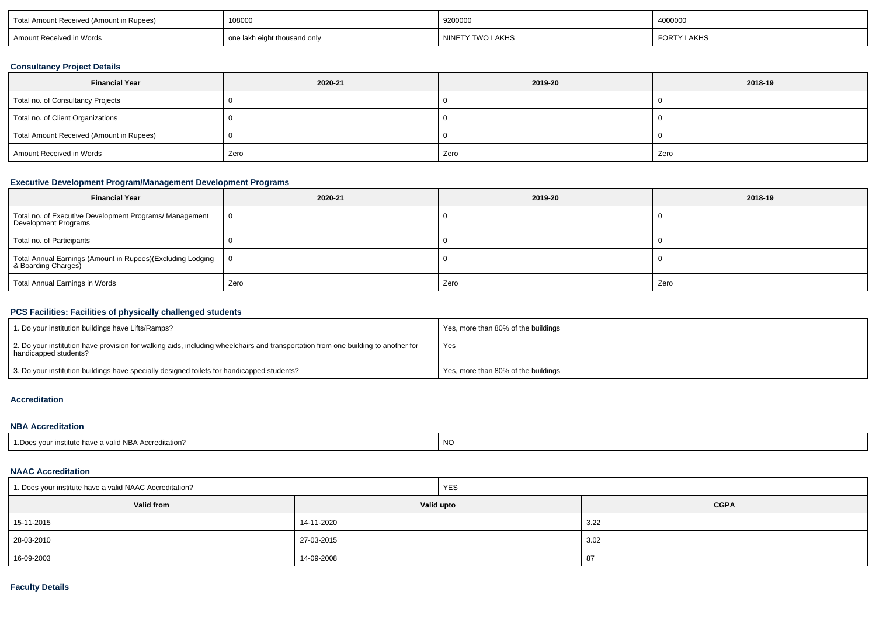| 108000<br>Total Amount<br>Rupees) ו<br>(Amount ir<br>it Received |                              | 9200000                                    | 4000000            |  |
|------------------------------------------------------------------|------------------------------|--------------------------------------------|--------------------|--|
| <sup>+</sup> Received in Words                                   | one lakh eight thousand only | <b><i>Y</i> TWO LAKHS</b><br><b>NINETY</b> | <b>FORTY LAKHS</b> |  |

### **Consultancy Project Details**

| <b>Financial Year</b>                    | 2020-21 | 2019-20 | 2018-19 |
|------------------------------------------|---------|---------|---------|
| Total no. of Consultancy Projects        |         |         |         |
| Total no. of Client Organizations        |         |         |         |
| Total Amount Received (Amount in Rupees) |         |         |         |
| Amount Received in Words                 | Zero    | Zero    | Zero    |

# **Executive Development Program/Management Development Programs**

| <b>Financial Year</b>                                                             | 2020-21 | 2019-20 | 2018-19 |
|-----------------------------------------------------------------------------------|---------|---------|---------|
| Total no. of Executive Development Programs/ Management<br>Development Programs   |         |         |         |
| Total no. of Participants                                                         |         |         |         |
| Total Annual Earnings (Amount in Rupees)(Excluding Lodging<br>& Boarding Charges) |         |         |         |
| Total Annual Earnings in Words                                                    | Zero    | Zero    | Zero    |

### **PCS Facilities: Facilities of physically challenged students**

| 1. Do your institution buildings have Lifts/Ramps?                                                                                                         | Yes, more than 80% of the buildings |
|------------------------------------------------------------------------------------------------------------------------------------------------------------|-------------------------------------|
| 2. Do your institution have provision for walking aids, including wheelchairs and transportation from one building to another for<br>handicapped students? | Yes                                 |
| 3. Do your institution buildings have specially designed toilets for handicapped students?                                                                 | Yes, more than 80% of the buildings |

#### **Accreditation**

#### **NBA Accreditation**

| d NBA Accreditation?_<br>our institute<br>.Does<br>, nave a valid | <b>NO</b> |
|-------------------------------------------------------------------|-----------|
|-------------------------------------------------------------------|-----------|

#### **NAAC Accreditation**

| 1. Does your institute have a valid NAAC Accreditation? |            | YES |             |  |  |
|---------------------------------------------------------|------------|-----|-------------|--|--|
| Valid from                                              | Valid upto |     | <b>CGPA</b> |  |  |
| 15-11-2015                                              | 14-11-2020 |     | 3.22        |  |  |
| 28-03-2010                                              | 27-03-2015 |     | 3.02        |  |  |
| 16-09-2003                                              | 14-09-2008 |     | - 87        |  |  |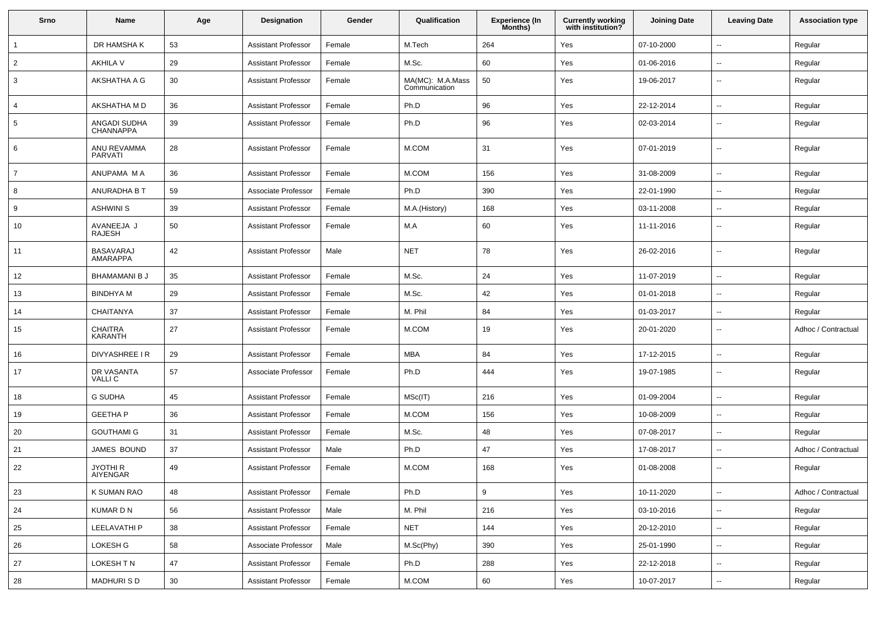| Srno           | Name                             | Age | <b>Designation</b>         | Gender | Qualification                     | Experience (In<br>Months) | <b>Currently working</b><br>with institution? | <b>Joining Date</b> | <b>Leaving Date</b>      | <b>Association type</b> |
|----------------|----------------------------------|-----|----------------------------|--------|-----------------------------------|---------------------------|-----------------------------------------------|---------------------|--------------------------|-------------------------|
|                | DR HAMSHA K                      | 53  | <b>Assistant Professor</b> | Female | M.Tech                            | 264                       | Yes                                           | 07-10-2000          | $\overline{\phantom{a}}$ | Regular                 |
| $\overline{2}$ | <b>AKHILA V</b>                  | 29  | <b>Assistant Professor</b> | Female | M.Sc.                             | 60                        | Yes                                           | 01-06-2016          | $\overline{\phantom{a}}$ | Regular                 |
| 3              | AKSHATHA A G                     | 30  | <b>Assistant Professor</b> | Female | MA(MC): M.A.Mass<br>Communication | 50                        | Yes                                           | 19-06-2017          | $\sim$                   | Regular                 |
| 4              | AKSHATHA M D                     | 36  | <b>Assistant Professor</b> | Female | Ph.D                              | 96                        | Yes                                           | 22-12-2014          | $\sim$                   | Regular                 |
| 5              | ANGADI SUDHA<br><b>CHANNAPPA</b> | 39  | <b>Assistant Professor</b> | Female | Ph.D                              | 96                        | Yes                                           | 02-03-2014          | $\overline{\phantom{a}}$ | Regular                 |
| 6              | ANU REVAMMA<br><b>PARVATI</b>    | 28  | <b>Assistant Professor</b> | Female | M.COM                             | 31                        | Yes                                           | 07-01-2019          | $\overline{\phantom{a}}$ | Regular                 |
| $\overline{7}$ | ANUPAMA M A                      | 36  | <b>Assistant Professor</b> | Female | M.COM                             | 156                       | Yes                                           | 31-08-2009          | $\overline{\phantom{a}}$ | Regular                 |
| 8              | ANURADHA B T                     | 59  | Associate Professor        | Female | Ph.D                              | 390                       | Yes                                           | 22-01-1990          | $\sim$                   | Regular                 |
| 9              | <b>ASHWINI S</b>                 | 39  | <b>Assistant Professor</b> | Female | M.A.(History)                     | 168                       | Yes                                           | 03-11-2008          | $\sim$                   | Regular                 |
| 10             | AVANEEJA J<br>RAJESH             | 50  | <b>Assistant Professor</b> | Female | M.A                               | 60                        | Yes                                           | 11-11-2016          | $\overline{\phantom{a}}$ | Regular                 |
| 11             | <b>BASAVARAJ</b><br>AMARAPPA     | 42  | <b>Assistant Professor</b> | Male   | <b>NET</b>                        | 78                        | Yes                                           | 26-02-2016          | $\overline{\phantom{a}}$ | Regular                 |
| 12             | <b>BHAMAMANI B J</b>             | 35  | <b>Assistant Professor</b> | Female | M.Sc.                             | 24                        | Yes                                           | 11-07-2019          | $\overline{\phantom{a}}$ | Regular                 |
| 13             | <b>BINDHYA M</b>                 | 29  | <b>Assistant Professor</b> | Female | M.Sc.                             | 42                        | Yes                                           | 01-01-2018          | $\sim$                   | Regular                 |
| 14             | <b>CHAITANYA</b>                 | 37  | <b>Assistant Professor</b> | Female | M. Phil                           | 84                        | Yes                                           | 01-03-2017          | $\overline{\phantom{a}}$ | Regular                 |
| 15             | <b>CHAITRA</b><br>KARANTH        | 27  | <b>Assistant Professor</b> | Female | M.COM                             | 19                        | Yes                                           | 20-01-2020          | $\overline{\phantom{a}}$ | Adhoc / Contractual     |
| 16             | DIVYASHREE I R                   | 29  | <b>Assistant Professor</b> | Female | <b>MBA</b>                        | 84                        | Yes                                           | 17-12-2015          | $\sim$                   | Regular                 |
| 17             | DR VASANTA<br><b>VALLIC</b>      | 57  | Associate Professor        | Female | Ph.D                              | 444                       | Yes                                           | 19-07-1985          | $\sim$                   | Regular                 |
| 18             | <b>G SUDHA</b>                   | 45  | <b>Assistant Professor</b> | Female | MSc(IT)                           | 216                       | Yes                                           | 01-09-2004          | $\sim$                   | Regular                 |
| 19             | <b>GEETHA P</b>                  | 36  | <b>Assistant Professor</b> | Female | M.COM                             | 156                       | Yes                                           | 10-08-2009          | $\overline{\phantom{a}}$ | Regular                 |
| 20             | <b>GOUTHAMI G</b>                | 31  | <b>Assistant Professor</b> | Female | M.Sc.                             | 48                        | Yes                                           | 07-08-2017          | $\overline{\phantom{a}}$ | Regular                 |
| 21             | JAMES BOUND                      | 37  | <b>Assistant Professor</b> | Male   | Ph.D                              | 47                        | Yes                                           | 17-08-2017          | $\sim$                   | Adhoc / Contractual     |
| 22             | JYOTHI R<br>AIYENGAR             | 49  | <b>Assistant Professor</b> | Female | M.COM                             | 168                       | Yes                                           | 01-08-2008          | $\overline{\phantom{a}}$ | Regular                 |
| 23             | K SUMAN RAO                      | 48  | <b>Assistant Professor</b> | Female | Ph.D                              | 9                         | Yes                                           | 10-11-2020          | $\overline{\phantom{a}}$ | Adhoc / Contractual     |
| 24             | KUMAR D N                        | 56  | <b>Assistant Professor</b> | Male   | M. Phil                           | 216                       | Yes                                           | 03-10-2016          | $\sim$                   | Regular                 |
| 25             | LEELAVATHI P                     | 38  | <b>Assistant Professor</b> | Female | <b>NET</b>                        | 144                       | Yes                                           | 20-12-2010          | $\sim$                   | Regular                 |
| 26             | LOKESH G                         | 58  | Associate Professor        | Male   | M.Sc(Phy)                         | 390                       | Yes                                           | 25-01-1990          | $\sim$                   | Regular                 |
| 27             | LOKESH TN                        | 47  | <b>Assistant Professor</b> | Female | Ph.D                              | 288                       | Yes                                           | 22-12-2018          | $\sim$                   | Regular                 |
| 28             | <b>MADHURISD</b>                 | 30  | <b>Assistant Professor</b> | Female | M.COM                             | 60                        | Yes                                           | 10-07-2017          | $\sim$                   | Regular                 |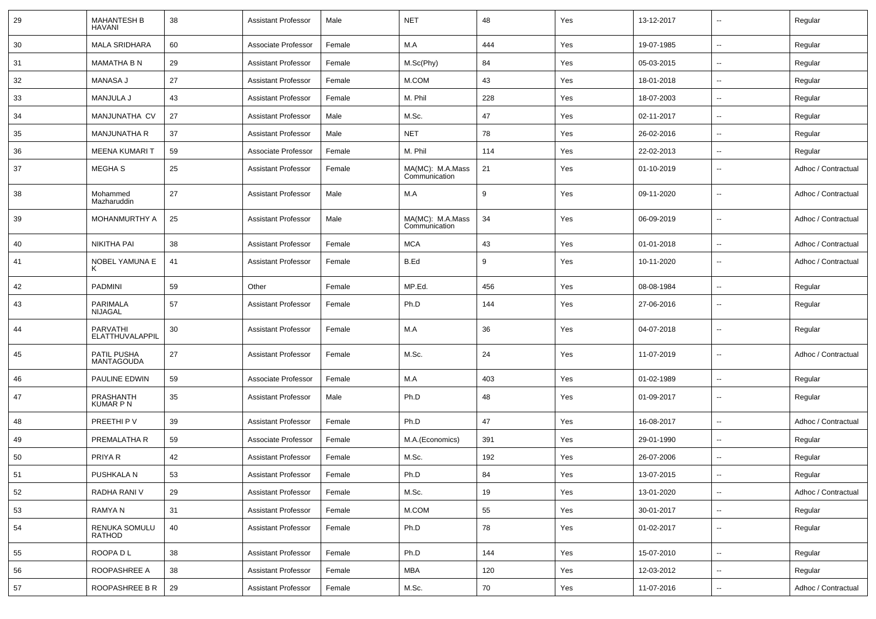| 29 | <b>MAHANTESH B</b><br><b>HAVANI</b> | 38 | <b>Assistant Professor</b> | Male   | <b>NET</b>                        | 48  | Yes | 13-12-2017 | $\overline{\phantom{a}}$ | Regular             |
|----|-------------------------------------|----|----------------------------|--------|-----------------------------------|-----|-----|------------|--------------------------|---------------------|
| 30 | <b>MALA SRIDHARA</b>                | 60 | Associate Professor        | Female | M.A                               | 444 | Yes | 19-07-1985 | $\overline{\phantom{a}}$ | Regular             |
| 31 | <b>MAMATHA B N</b>                  | 29 | <b>Assistant Professor</b> | Female | M.Sc(Phy)                         | 84  | Yes | 05-03-2015 | $\overline{\phantom{a}}$ | Regular             |
| 32 | <b>MANASA J</b>                     | 27 | <b>Assistant Professor</b> | Female | M.COM                             | 43  | Yes | 18-01-2018 | $\overline{\phantom{a}}$ | Regular             |
| 33 | MANJULA J                           | 43 | <b>Assistant Professor</b> | Female | M. Phil                           | 228 | Yes | 18-07-2003 | $\overline{\phantom{a}}$ | Regular             |
| 34 | MANJUNATHA CV                       | 27 | <b>Assistant Professor</b> | Male   | M.Sc.                             | 47  | Yes | 02-11-2017 | $\sim$                   | Regular             |
| 35 | <b>MANJUNATHA R</b>                 | 37 | <b>Assistant Professor</b> | Male   | NET                               | 78  | Yes | 26-02-2016 | $\sim$                   | Regular             |
| 36 | <b>MEENA KUMARIT</b>                | 59 | Associate Professor        | Female | M. Phil                           | 114 | Yes | 22-02-2013 | $\overline{\phantom{a}}$ | Regular             |
| 37 | MEGHA <sub>S</sub>                  | 25 | <b>Assistant Professor</b> | Female | MA(MC): M.A.Mass<br>Communication | 21  | Yes | 01-10-2019 | $\overline{\phantom{a}}$ | Adhoc / Contractual |
| 38 | Mohammed<br>Mazharuddin             | 27 | <b>Assistant Professor</b> | Male   | M.A                               | 9   | Yes | 09-11-2020 | $\overline{\phantom{a}}$ | Adhoc / Contractual |
| 39 | <b>MOHANMURTHY A</b>                | 25 | <b>Assistant Professor</b> | Male   | MA(MC): M.A.Mass<br>Communication | 34  | Yes | 06-09-2019 | $\overline{\phantom{a}}$ | Adhoc / Contractual |
| 40 | <b>NIKITHA PAI</b>                  | 38 | <b>Assistant Professor</b> | Female | <b>MCA</b>                        | 43  | Yes | 01-01-2018 | $\overline{\phantom{a}}$ | Adhoc / Contractual |
| 41 | NOBEL YAMUNA E<br>ĸ                 | 41 | <b>Assistant Professor</b> | Female | B.Ed                              | 9   | Yes | 10-11-2020 | $\overline{\phantom{a}}$ | Adhoc / Contractual |
| 42 | <b>PADMINI</b>                      | 59 | Other                      | Female | MP.Ed.                            | 456 | Yes | 08-08-1984 | $\overline{\phantom{a}}$ | Regular             |
| 43 | <b>PARIMALA</b><br>NIJAGAL          | 57 | <b>Assistant Professor</b> | Female | Ph.D                              | 144 | Yes | 27-06-2016 | $\overline{\phantom{a}}$ | Regular             |
| 44 | <b>PARVATHI</b><br>ELATTHUVALAPPIL  | 30 | <b>Assistant Professor</b> | Female | M.A                               | 36  | Yes | 04-07-2018 | $\overline{\phantom{a}}$ | Regular             |
| 45 | PATIL PUSHA<br>MANTAGOUDA           | 27 | <b>Assistant Professor</b> | Female | M.Sc.                             | 24  | Yes | 11-07-2019 | $\overline{\phantom{a}}$ | Adhoc / Contractual |
| 46 | <b>PAULINE EDWIN</b>                | 59 | Associate Professor        | Female | M.A                               | 403 | Yes | 01-02-1989 | $\overline{\phantom{a}}$ | Regular             |
| 47 | PRASHANTH<br><b>KUMAR P N</b>       | 35 | <b>Assistant Professor</b> | Male   | Ph.D                              | 48  | Yes | 01-09-2017 | $\overline{\phantom{a}}$ | Regular             |
| 48 | PREETHI P V                         | 39 | <b>Assistant Professor</b> | Female | Ph.D                              | 47  | Yes | 16-08-2017 | $\overline{\phantom{a}}$ | Adhoc / Contractual |
| 49 | PREMALATHA R                        | 59 | Associate Professor        | Female | M.A.(Economics)                   | 391 | Yes | 29-01-1990 | $\overline{\phantom{a}}$ | Regular             |
| 50 | PRIYA R                             | 42 | <b>Assistant Professor</b> | Female | M.Sc.                             | 192 | Yes | 26-07-2006 | $\overline{\phantom{a}}$ | Regular             |
| 51 | PUSHKALA N                          | 53 | <b>Assistant Professor</b> | Female | Ph.D                              | 84  | Yes | 13-07-2015 | ۰.                       | Regular             |
| 52 | RADHA RANI V                        | 29 | <b>Assistant Professor</b> | Female | M.Sc.                             | 19  | Yes | 13-01-2020 | Ξ.                       | Adhoc / Contractual |
| 53 | RAMYA N                             | 31 | <b>Assistant Professor</b> | Female | M.COM                             | 55  | Yes | 30-01-2017 | $\overline{\phantom{a}}$ | Regular             |
| 54 | RENUKA SOMULU<br>RATHOD             | 40 | <b>Assistant Professor</b> | Female | Ph.D                              | 78  | Yes | 01-02-2017 | ۰.                       | Regular             |
| 55 | ROOPA D L                           | 38 | <b>Assistant Professor</b> | Female | Ph.D                              | 144 | Yes | 15-07-2010 | ۰.                       | Regular             |
| 56 | ROOPASHREE A                        | 38 | <b>Assistant Professor</b> | Female | MBA                               | 120 | Yes | 12-03-2012 | $\overline{\phantom{a}}$ | Regular             |
| 57 | ROOPASHREE B R                      | 29 | <b>Assistant Professor</b> | Female | M.Sc.                             | 70  | Yes | 11-07-2016 | ۰.                       | Adhoc / Contractual |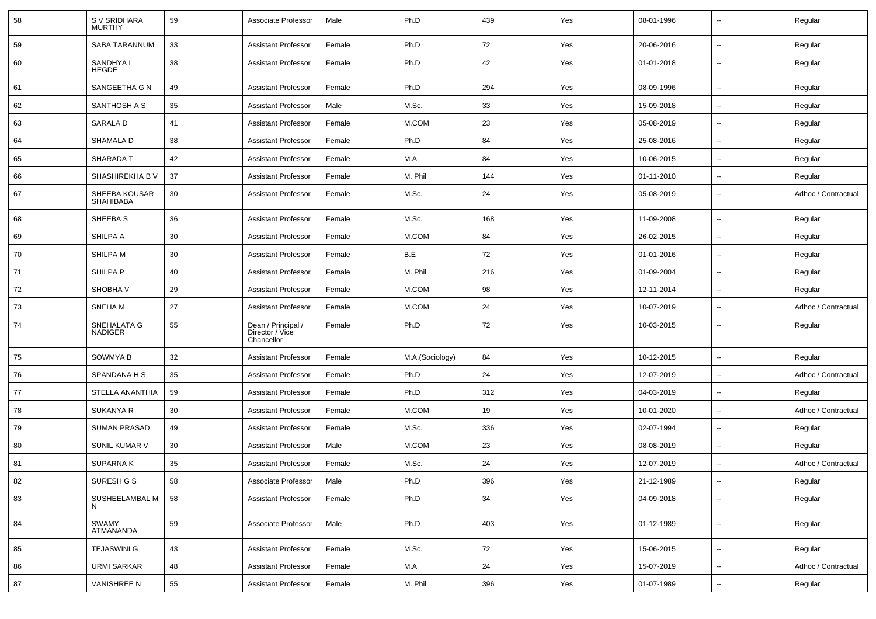| 58 | S V SRIDHARA<br><b>MURTHY</b>     | 59 | Associate Professor                                 | Male   | Ph.D            | 439 | Yes | 08-01-1996 | $\overline{\phantom{a}}$ | Regular             |
|----|-----------------------------------|----|-----------------------------------------------------|--------|-----------------|-----|-----|------------|--------------------------|---------------------|
| 59 | <b>SABA TARANNUM</b>              | 33 | <b>Assistant Professor</b>                          | Female | Ph.D            | 72  | Yes | 20-06-2016 | $\sim$                   | Regular             |
| 60 | SANDHYA L<br><b>HEGDE</b>         | 38 | <b>Assistant Professor</b>                          | Female | Ph.D            | 42  | Yes | 01-01-2018 | --                       | Regular             |
| 61 | SANGEETHA G N                     | 49 | <b>Assistant Professor</b>                          | Female | Ph.D            | 294 | Yes | 08-09-1996 | $\sim$                   | Regular             |
| 62 | SANTHOSH A S                      | 35 | <b>Assistant Professor</b>                          | Male   | M.Sc.           | 33  | Yes | 15-09-2018 | $\overline{\phantom{a}}$ | Regular             |
| 63 | SARALA D                          | 41 | <b>Assistant Professor</b>                          | Female | M.COM           | 23  | Yes | 05-08-2019 | $-$                      | Regular             |
| 64 | SHAMALA D                         | 38 | <b>Assistant Professor</b>                          | Female | Ph.D            | 84  | Yes | 25-08-2016 | $\overline{a}$           | Regular             |
| 65 | SHARADA T                         | 42 | <b>Assistant Professor</b>                          | Female | M.A             | 84  | Yes | 10-06-2015 | $\sim$                   | Regular             |
| 66 | SHASHIREKHA B V                   | 37 | <b>Assistant Professor</b>                          | Female | M. Phil         | 144 | Yes | 01-11-2010 | $\sim$                   | Regular             |
| 67 | SHEEBA KOUSAR<br><b>SHAHIBABA</b> | 30 | <b>Assistant Professor</b>                          | Female | M.Sc.           | 24  | Yes | 05-08-2019 | $\sim$                   | Adhoc / Contractual |
| 68 | SHEEBA S                          | 36 | <b>Assistant Professor</b>                          | Female | M.Sc.           | 168 | Yes | 11-09-2008 | Ξ.                       | Regular             |
| 69 | SHILPA A                          | 30 | <b>Assistant Professor</b>                          | Female | M.COM           | 84  | Yes | 26-02-2015 | $\overline{\phantom{a}}$ | Regular             |
| 70 | SHILPA M                          | 30 | <b>Assistant Professor</b>                          | Female | B.E             | 72  | Yes | 01-01-2016 | $\overline{\phantom{a}}$ | Regular             |
| 71 | SHILPA P                          | 40 | <b>Assistant Professor</b>                          | Female | M. Phil         | 216 | Yes | 01-09-2004 | $\overline{a}$           | Regular             |
| 72 | SHOBHA V                          | 29 | <b>Assistant Professor</b>                          | Female | M.COM           | 98  | Yes | 12-11-2014 | $\sim$                   | Regular             |
| 73 | SNEHA M                           | 27 | <b>Assistant Professor</b>                          | Female | M.COM           | 24  | Yes | 10-07-2019 | $\sim$                   | Adhoc / Contractual |
| 74 | SNEHALATA G<br><b>NADIGER</b>     | 55 | Dean / Principal /<br>Director / Vice<br>Chancellor | Female | Ph.D            | 72  | Yes | 10-03-2015 | --                       | Regular             |
| 75 | SOWMYA B                          | 32 | <b>Assistant Professor</b>                          | Female | M.A.(Sociology) | 84  | Yes | 10-12-2015 | $\sim$                   | Regular             |
| 76 | SPANDANA H S                      | 35 | <b>Assistant Professor</b>                          | Female | Ph.D            | 24  | Yes | 12-07-2019 | Ξ.                       | Adhoc / Contractual |
| 77 | STELLA ANANTHIA                   | 59 | <b>Assistant Professor</b>                          | Female | Ph.D            | 312 | Yes | 04-03-2019 | $\sim$                   | Regular             |
| 78 | SUKANYA R                         | 30 | <b>Assistant Professor</b>                          | Female | M.COM           | 19  | Yes | 10-01-2020 | $-$                      | Adhoc / Contractual |
| 79 | <b>SUMAN PRASAD</b>               | 49 | <b>Assistant Professor</b>                          | Female | M.Sc.           | 336 | Yes | 02-07-1994 | $\overline{a}$           | Regular             |
| 80 | SUNIL KUMAR V                     | 30 | <b>Assistant Professor</b>                          | Male   | M.COM           | 23  | Yes | 08-08-2019 | $\overline{a}$           | Regular             |
| 81 | <b>SUPARNAK</b>                   | 35 | <b>Assistant Professor</b>                          | Female | M.Sc.           | 24  | Yes | 12-07-2019 | $\sim$                   | Adhoc / Contractual |
| 82 | SURESH G S                        | 58 | Associate Professor                                 | Male   | Ph.D            | 396 | Yes | 21-12-1989 | $\overline{\phantom{a}}$ | Regular             |
| 83 | SUSHEELAMBAL M<br>N               | 58 | <b>Assistant Professor</b>                          | Female | Ph.D            | 34  | Yes | 04-09-2018 | $\sim$                   | Regular             |
| 84 | SWAMY<br>ATMANANDA                | 59 | Associate Professor                                 | Male   | Ph.D            | 403 | Yes | 01-12-1989 | $\sim$                   | Regular             |
| 85 | <b>TEJASWINI G</b>                | 43 | <b>Assistant Professor</b>                          | Female | M.Sc.           | 72  | Yes | 15-06-2015 | $\overline{\phantom{a}}$ | Regular             |
| 86 | <b>URMI SARKAR</b>                | 48 | <b>Assistant Professor</b>                          | Female | M.A             | 24  | Yes | 15-07-2019 | $\sim$                   | Adhoc / Contractual |
| 87 | <b>VANISHREE N</b>                | 55 | <b>Assistant Professor</b>                          | Female | M. Phil         | 396 | Yes | 01-07-1989 | $\sim$                   | Regular             |